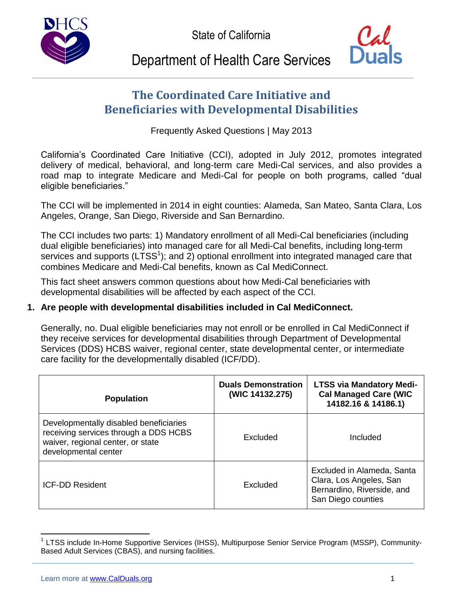State of California





# Department of Health Care Services

# **The Coordinated Care Initiative and Beneficiaries with Developmental Disabilities**

Frequently Asked Questions | May 2013

California's Coordinated Care Initiative (CCI), adopted in July 2012, promotes integrated delivery of medical, behavioral, and long-term care Medi-Cal services, and also provides a road map to integrate Medicare and Medi-Cal for people on both programs, called "dual eligible beneficiaries."

The CCI will be implemented in 2014 in eight counties: Alameda, San Mateo, Santa Clara, Los Angeles, Orange, San Diego, Riverside and San Bernardino.

The CCI includes two parts: 1) Mandatory enrollment of all Medi-Cal beneficiaries (including dual eligible beneficiaries) into managed care for all Medi-Cal benefits, including long-term services and supports ( $LTSS<sup>1</sup>$ ); and 2) optional enrollment into integrated managed care that combines Medicare and Medi-Cal benefits, known as Cal MediConnect.

This fact sheet answers common questions about how Medi-Cal beneficiaries with developmental disabilities will be affected by each aspect of the CCI.

## **1. Are people with developmental disabilities included in Cal MediConnect.**

Generally, no. Dual eligible beneficiaries may not enroll or be enrolled in Cal MediConnect if they receive services for developmental disabilities through Department of Developmental Services (DDS) HCBS waiver, regional center, state developmental center, or intermediate care facility for the developmentally disabled (ICF/DD).

| <b>Population</b>                                                                                                                            | <b>Duals Demonstration</b><br>(WIC 14132.275) | <b>LTSS via Mandatory Medi-</b><br><b>Cal Managed Care (WIC</b><br>14182.16 & 14186.1)                    |
|----------------------------------------------------------------------------------------------------------------------------------------------|-----------------------------------------------|-----------------------------------------------------------------------------------------------------------|
| Developmentally disabled beneficiaries<br>receiving services through a DDS HCBS<br>waiver, regional center, or state<br>developmental center | Excluded                                      | Included                                                                                                  |
| <b>ICF-DD Resident</b>                                                                                                                       | Excluded                                      | Excluded in Alameda, Santa<br>Clara, Los Angeles, San<br>Bernardino, Riverside, and<br>San Diego counties |

<sup>1</sup> LTSS include In-Home Supportive Services (IHSS), Multipurpose Senior Service Program (MSSP), Community-Based Adult Services (CBAS), and nursing facilities.

 $\overline{a}$